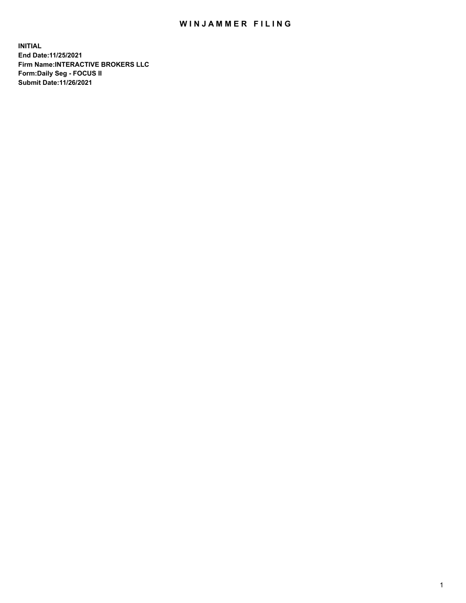## WIN JAMMER FILING

**INITIAL End Date:11/25/2021 Firm Name:INTERACTIVE BROKERS LLC Form:Daily Seg - FOCUS II Submit Date:11/26/2021**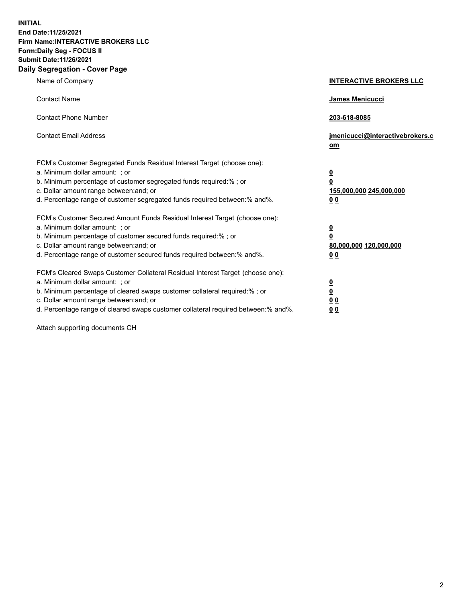**INITIAL End Date:11/25/2021 Firm Name:INTERACTIVE BROKERS LLC Form:Daily Seg - FOCUS II Submit Date:11/26/2021 Daily Segregation - Cover Page**

| Name of Company                                                                                                                                                                                                                                                                                                                | <b>INTERACTIVE BROKERS LLC</b>                                                                           |
|--------------------------------------------------------------------------------------------------------------------------------------------------------------------------------------------------------------------------------------------------------------------------------------------------------------------------------|----------------------------------------------------------------------------------------------------------|
| <b>Contact Name</b>                                                                                                                                                                                                                                                                                                            | James Menicucci                                                                                          |
| <b>Contact Phone Number</b>                                                                                                                                                                                                                                                                                                    | 203-618-8085                                                                                             |
| <b>Contact Email Address</b>                                                                                                                                                                                                                                                                                                   | jmenicucci@interactivebrokers.c<br>om                                                                    |
| FCM's Customer Segregated Funds Residual Interest Target (choose one):<br>a. Minimum dollar amount: ; or<br>b. Minimum percentage of customer segregated funds required:% ; or<br>c. Dollar amount range between: and; or<br>d. Percentage range of customer segregated funds required between:% and%.                         | $\overline{\mathbf{0}}$<br>$\overline{\mathbf{0}}$<br>155,000,000 245,000,000<br>0 <sub>0</sub>          |
| FCM's Customer Secured Amount Funds Residual Interest Target (choose one):<br>a. Minimum dollar amount: ; or<br>b. Minimum percentage of customer secured funds required:%; or<br>c. Dollar amount range between: and; or<br>d. Percentage range of customer secured funds required between:% and%.                            | $\overline{\mathbf{0}}$<br>$\overline{\mathbf{0}}$<br>80,000,000 120,000,000<br>00                       |
| FCM's Cleared Swaps Customer Collateral Residual Interest Target (choose one):<br>a. Minimum dollar amount: ; or<br>b. Minimum percentage of cleared swaps customer collateral required:% ; or<br>c. Dollar amount range between: and; or<br>d. Percentage range of cleared swaps customer collateral required between:% and%. | $\overline{\mathbf{0}}$<br>$\underline{\mathbf{0}}$<br>$\underline{0}$ $\underline{0}$<br>0 <sub>0</sub> |

Attach supporting documents CH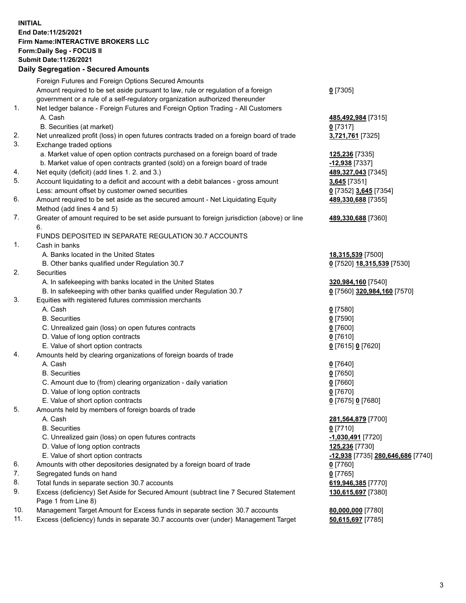## **INITIAL End Date:11/25/2021 Firm Name:INTERACTIVE BROKERS LLC Form:Daily Seg - FOCUS II Submit Date:11/26/2021 Daily Segregation - Secured Amounts**

|     | Daily Segregation - Secured Amounts                                                         |                                   |
|-----|---------------------------------------------------------------------------------------------|-----------------------------------|
|     | Foreign Futures and Foreign Options Secured Amounts                                         |                                   |
|     | Amount required to be set aside pursuant to law, rule or regulation of a foreign            | $0$ [7305]                        |
|     | government or a rule of a self-regulatory organization authorized thereunder                |                                   |
| 1.  | Net ledger balance - Foreign Futures and Foreign Option Trading - All Customers             |                                   |
|     | A. Cash                                                                                     | 485,492,984 [7315]                |
|     | B. Securities (at market)                                                                   | $0$ [7317]                        |
| 2.  | Net unrealized profit (loss) in open futures contracts traded on a foreign board of trade   | 3,721,761 [7325]                  |
| 3.  | Exchange traded options                                                                     |                                   |
|     | a. Market value of open option contracts purchased on a foreign board of trade              | 125,236 [7335]                    |
|     | b. Market value of open contracts granted (sold) on a foreign board of trade                | -12,938 [7337]                    |
| 4.  | Net equity (deficit) (add lines 1. 2. and 3.)                                               | 489,327,043 [7345]                |
| 5.  | Account liquidating to a deficit and account with a debit balances - gross amount           | 3,645 [7351]                      |
|     | Less: amount offset by customer owned securities                                            | 0 [7352] 3,645 [7354]             |
| 6.  | Amount required to be set aside as the secured amount - Net Liquidating Equity              | 489,330,688 [7355]                |
|     | Method (add lines 4 and 5)                                                                  |                                   |
| 7.  | Greater of amount required to be set aside pursuant to foreign jurisdiction (above) or line | 489,330,688 [7360]                |
|     | 6.                                                                                          |                                   |
|     | FUNDS DEPOSITED IN SEPARATE REGULATION 30.7 ACCOUNTS                                        |                                   |
| 1.  | Cash in banks                                                                               |                                   |
|     | A. Banks located in the United States                                                       | 18,315,539 [7500]                 |
|     | B. Other banks qualified under Regulation 30.7                                              | 0 [7520] 18,315,539 [7530]        |
| 2.  | Securities                                                                                  |                                   |
|     | A. In safekeeping with banks located in the United States                                   | 320,984,160 [7540]                |
|     | B. In safekeeping with other banks qualified under Regulation 30.7                          | 0 [7560] 320,984,160 [7570]       |
| 3.  | Equities with registered futures commission merchants                                       |                                   |
|     | A. Cash                                                                                     | $0$ [7580]                        |
|     | <b>B.</b> Securities                                                                        | $0$ [7590]                        |
|     | C. Unrealized gain (loss) on open futures contracts                                         | $0$ [7600]                        |
|     | D. Value of long option contracts                                                           | $0$ [7610]                        |
|     | E. Value of short option contracts                                                          | 0 [7615] 0 [7620]                 |
| 4.  | Amounts held by clearing organizations of foreign boards of trade                           |                                   |
|     | A. Cash                                                                                     | $0$ [7640]                        |
|     | <b>B.</b> Securities                                                                        | $0$ [7650]                        |
|     | C. Amount due to (from) clearing organization - daily variation                             | $0$ [7660]                        |
|     | D. Value of long option contracts                                                           | $0$ [7670]                        |
|     | E. Value of short option contracts                                                          | 0 [7675] 0 [7680]                 |
| 5.  | Amounts held by members of foreign boards of trade                                          |                                   |
|     | A. Cash                                                                                     | 281,564,879 [7700]                |
|     | <b>B.</b> Securities                                                                        | $0$ [7710]                        |
|     | C. Unrealized gain (loss) on open futures contracts                                         | -1,030,491 <sup>[7720]</sup>      |
|     | D. Value of long option contracts                                                           | 125,236 [7730]                    |
|     | E. Value of short option contracts                                                          | -12,938 [7735] 280,646,686 [7740] |
| 6.  | Amounts with other depositories designated by a foreign board of trade                      | $0$ [7760]                        |
| 7.  | Segregated funds on hand                                                                    | $0$ [7765]                        |
| 8.  | Total funds in separate section 30.7 accounts                                               | 619,946,385 [7770]                |
| 9.  | Excess (deficiency) Set Aside for Secured Amount (subtract line 7 Secured Statement         | 130,615,697 [7380]                |
|     | Page 1 from Line 8)                                                                         |                                   |
| 10. | Management Target Amount for Excess funds in separate section 30.7 accounts                 | 80,000,000 [7780]                 |
| 11. | Excess (deficiency) funds in separate 30.7 accounts over (under) Management Target          | 50,615,697 [7785]                 |
|     |                                                                                             |                                   |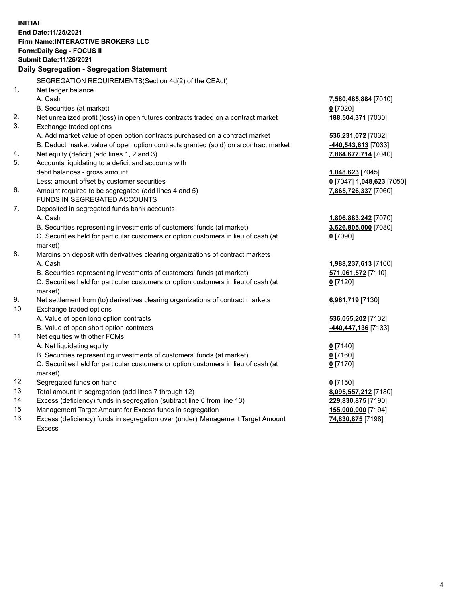**INITIAL End Date:11/25/2021 Firm Name:INTERACTIVE BROKERS LLC Form:Daily Seg - FOCUS II Submit Date:11/26/2021 Daily Segregation - Segregation Statement** SEGREGATION REQUIREMENTS(Section 4d(2) of the CEAct) 1. Net ledger balance A. Cash **7,580,485,884** [7010] B. Securities (at market) **0** [7020] 2. Net unrealized profit (loss) in open futures contracts traded on a contract market **188,504,371** [7030] 3. Exchange traded options A. Add market value of open option contracts purchased on a contract market **536,231,072** [7032] B. Deduct market value of open option contracts granted (sold) on a contract market **-440,543,613** [7033] 4. Net equity (deficit) (add lines 1, 2 and 3) **7,864,677,714** [7040] 5. Accounts liquidating to a deficit and accounts with debit balances - gross amount **1,048,623** [7045] Less: amount offset by customer securities **0** [7047] **1,048,623** [7050] 6. Amount required to be segregated (add lines 4 and 5) **7,865,726,337** [7060] FUNDS IN SEGREGATED ACCOUNTS 7. Deposited in segregated funds bank accounts A. Cash **1,806,883,242** [7070] B. Securities representing investments of customers' funds (at market) **3,626,805,000** [7080] C. Securities held for particular customers or option customers in lieu of cash (at market) **0** [7090] 8. Margins on deposit with derivatives clearing organizations of contract markets A. Cash **1,988,237,613** [7100] B. Securities representing investments of customers' funds (at market) **571,061,572** [7110] C. Securities held for particular customers or option customers in lieu of cash (at market) **0** [7120] 9. Net settlement from (to) derivatives clearing organizations of contract markets **6,961,719** [7130] 10. Exchange traded options A. Value of open long option contracts **536,055,202** [7132] B. Value of open short option contracts **-440,447,136** [7133] 11. Net equities with other FCMs A. Net liquidating equity **0** [7140] B. Securities representing investments of customers' funds (at market) **0** [7160] C. Securities held for particular customers or option customers in lieu of cash (at market) **0** [7170] 12. Segregated funds on hand **0** [7150] 13. Total amount in segregation (add lines 7 through 12) **8,095,557,212** [7180] 14. Excess (deficiency) funds in segregation (subtract line 6 from line 13) **229,830,875** [7190] 15. Management Target Amount for Excess funds in segregation **155,000,000** [7194]

16. Excess (deficiency) funds in segregation over (under) Management Target Amount Excess

**74,830,875** [7198]